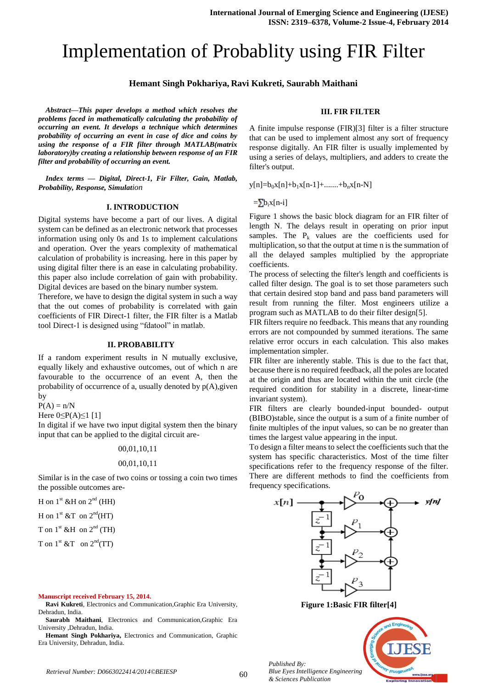# Implementation of Probablity using FIR Filter

#### **Hemant Singh Pokhariya, Ravi Kukreti, Saurabh Maithani**

*Abstract—This paper develops a method which resolves the problems faced in mathematically calculating the probability of occurring an event. It develops a technique which determines probability of occurring an event in case of dice and coins by using the response of a FIR filter through MATLAB(matrix laboratory)by creating a relationship between response of an FIR filter and probability of occurring an event.*

*Index terms — Digital, Direct-1, Fir Filter, Gain, Matlab, Probability, Response, Simulation*

# **I. INTRODUCTION**

Digital systems have become a part of our lives. A digital system can be defined as an electronic network that processes information using only 0s and 1s to implement calculations and operation. Over the years complexity of mathematical calculation of probability is increasing. here in this paper by using digital filter there is an ease in calculating probability. this paper also include correlation of gain with probability. Digital devices are based on the binary number system.

Therefore, we have to design the digital system in such a way that the out comes of probability is correlated with gain coefficients of FIR Direct-1 filter, the FIR filter is a Matlab tool Direct-1 is designed using "fdatool" in matlab.

## **II. PROBABILITY**

If a random experiment results in N mutually exclusive, equally likely and exhaustive outcomes, out of which n are favourable to the occurrence of an event A, then the probability of occurrence of a, usually denoted by  $p(A)$ , given by

 $P(A) = n/N$ 

Here  $0 \leq P(A) \leq 1$  [1]

In digital if we have two input digital system then the binary input that can be applied to the digital circuit are-

#### 00,01,10,11

#### 00,01,10,11

Similar is in the case of two coins or tossing a coin two times the possible outcomes are-

H on  $1^{\text{st}}$  &H on  $2^{\text{nd}}$  (HH)

H on  $1^{\text{st}}$  &T on  $2^{\text{nd}}$ (HT)

T on  $1^{\text{st}}$  &H on  $2^{\text{nd}}$  (TH)

T on  $1^{\text{st}}$  &T on  $2^{\text{nd}}$ (TT)

#### **Manuscript received February 15, 2014.**

**Ravi Kukreti**, Electronics and Communication,Graphic Era University, Dehradun, India.

**Saurabh Maithani**, Electronics and Communication,Graphic Era University ,Dehradun, India.

**Hemant Singh Pokhariya,** Electronics and Communication, Graphic Era University, Dehradun, India.

#### **III. FIR FILTER**

A finite impulse response (FIR)[3] filter is a filter structure that can be used to implement almost any sort of frequency response digitally. An FIR filter is usually implemented by using a series of delays, multipliers, and adders to create the filter's output.

 $y[n]=b_0x[n]+b_1x[n-1]+$ .......+ $b_nx[n-N]$ 

 $=\sum b_i x[n-i]$ 

Figure 1 shows the basic block diagram for an FIR filter of length N. The delays result in operating on prior input samples. The  $P_k$  values are the coefficients used for multiplication, so that the output at time n is the summation of all the delayed samples multiplied by the appropriate coefficients.

The process of selecting the filter's length and coefficients is called filter design. The goal is to set those parameters such that certain desired stop band and pass band parameters will result from running the filter. Most engineers utilize a program such as MATLAB to do their filter design[5].

FIR filters require no feedback. This means that any rounding errors are not compounded by summed iterations. The same relative error occurs in each calculation. This also makes implementation simpler.

FIR filter are inherently stable. This is due to the fact that, because there is no required feedback, all the poles are located at the origin and thus are located within the unit circle (the required condition for stability in a discrete, linear-time invariant system).

FIR filters are clearly bounded-input bounded- output (BIBO)stable, since the output is a sum of a finite number of finite multiples of the input values, so can be no greater than times the largest value appearing in the input.

To design a filter means to select the coefficients such that the system has specific characteristics. Most of the time filter specifications refer to the frequency response of the filter. There are different methods to find the coefficients from frequency specifications.



**Figure 1:Basic FIR filter[4]**



60 *Retrieval Number: D0663022414/2014©BEIESP*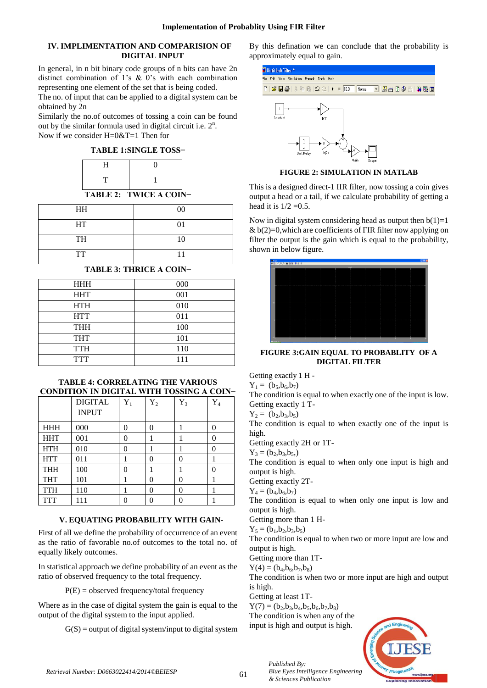# **IV. IMPLIMENTATION AND COMPARISION OF DIGITAL INPUT**

In general, in n bit binary code groups of n bits can have 2n distinct combination of 1's & 0's with each combination representing one element of the set that is being coded.

The no. of input that can be applied to a digital system can be obtained by 2n

Similarly the no.of outcomes of tossing a coin can be found out by the similar formula used in digital circuit i.e.  $2<sup>n</sup>$ . Now if we consider H=0&T=1 Then for

**TABLE 1:SINGLE TOSS−**

| -- |  |
|----|--|
|    |  |

**TABLE 2: TWICE A COIN−**

| <b>HH</b> | 00 |
|-----------|----|
| HT        | 01 |
| TH        | 10 |
| <b>TT</b> | 11 |

# **TABLE 3: THRICE A COIN−**

| <b>HHH</b> | 000 |
|------------|-----|
| <b>HHT</b> | 001 |
| <b>HTH</b> | 010 |
| <b>HTT</b> | 011 |
| <b>THH</b> | 100 |
| <b>THT</b> | 101 |
| <b>TTH</b> | 110 |
| <b>TTT</b> | 111 |

# **TABLE 4: CORRELATING THE VARIOUS CONDITION IN DIGITAL WITH TOSSING A COIN−**

|            | <b>DIGITAL</b><br><b>INPUT</b> | $Y_1$    | $Y_2$    | $Y_3$ | $\mathbf{Y}_4$ |
|------------|--------------------------------|----------|----------|-------|----------------|
| <b>HHH</b> | 000                            | $\theta$ | $\Omega$ |       | 0              |
| <b>HHT</b> | 001                            | $\theta$ |          |       | 0              |
| <b>HTH</b> | 010                            | 0        |          |       | 0              |
| <b>HTT</b> | 011                            |          | $\theta$ | 0     |                |
| <b>THH</b> | 100                            | 0        |          | 1     | 0              |
| <b>THT</b> | 101                            |          | $\Omega$ | 0     |                |
| <b>TTH</b> | 110                            | 1        | $\Omega$ | 0     | 1              |
| TTT        | 111                            |          |          |       |                |

# **V. EQUATING PROBABILITY WITH GAIN-**

First of all we define the probability of occurrence of an event as the ratio of favorable no.of outcomes to the total no. of equally likely outcomes.

In statistical approach we define probability of an event as the ratio of observed frequency to the total frequency.

 $P(E) =$  observed frequency/total frequency

Where as in the case of digital system the gain is equal to the output of the digital system to the input applied.

 $G(S)$  = output of digital system/input to digital system

By this defination we can conclude that the probability is approximately equal to gain.



**FIGURE 2: SIMULATION IN MATLAB**

This is a designed direct-1 IIR filter, now tossing a coin gives output a head or a tail, if we calculate probability of getting a head it is  $1/2 = 0.5$ .

Now in digital system considering head as output then  $b(1)=1$ &  $b(2)=0$ , which are coefficients of FIR filter now applying on filter the output is the gain which is equal to the probability, shown in below figure.



**FIGURE 3:GAIN EQUAL TO PROBABLITY OF A DIGITAL FILTER**

Getting exactly 1 H -

 $Y_1 = (b_5, b_6, b_7)$ 

The condition is equal to when exactly one of the input is low. Getting exactly 1 T-

 $Y_2 = (b_2, b_3, b_5)$ 

The condition is equal to when exactly one of the input is high.

Getting exactly 2H or 1T-

 $Y_3 = (b_2, b_3, b_5)$ 

The condition is equal to when only one input is high and output is high.

Getting exactly 2T-

 $Y_4 = (b_4, b_6, b_7)$ 

The condition is equal to when only one input is low and output is high.

Getting more than 1 H-

 $Y_5 = (b_1, b_2, b_3, b_5)$ 

The condition is equal to when two or more input are low and output is high.

Getting more than 1T-

 $Y(4) = (b_4, b_6, b_7, b_8)$ 

The condition is when two or more input are high and output is high.

Getting at least 1T-

 $Y(7) = (b_2, b_3, b_4, b_5, b_6, b_7, b_8)$ 

*Published By:*

The condition is when any of the input is high and output is high.

*& Sciences Publication* 

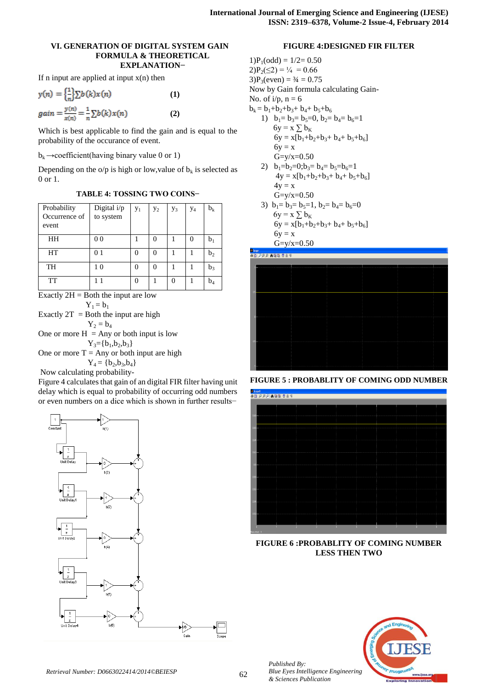## **VI. GENERATION OF DIGITAL SYSTEM GAIN FORMULA & THEORETICAL EXPLANATION−**

If n input are applied at input  $x(n)$  then

$$
y(n) = \left\{\frac{1}{n}\right\} \sum b(k)x(n)
$$
 (1)  
gain =  $\frac{y(n)}{x(n)} = \frac{1}{n} \sum b(k)x(n)$  (2)

Which is best applicable to find the gain and is equal to the probability of the occurance of event.

 $b_k \rightarrow$ coefficient(having binary value 0 or 1)

Depending on the  $o/p$  is high or low, value of  $b_k$  is selected as 0 or 1.

| Probability   | Digital i/p    | $y_1$ | $y_2$ | $y_3$ | $y_4$ | $\mathbf{b}_{\mathbf{k}}$ |
|---------------|----------------|-------|-------|-------|-------|---------------------------|
| Occurrence of | to system      |       |       |       |       |                           |
| event         |                |       |       |       |       |                           |
| HH            | 0 <sub>0</sub> |       |       |       | 0     | b,                        |
| HT            | 0 <sub>1</sub> | 0     |       |       |       | $b_2$                     |
| TH            | 10             |       |       |       |       | $b_3$                     |
| TT            | $1\quad1$      |       |       |       |       | $b_4$                     |

Exactly  $2H =$  Both the input are low  $Y_1 = b_1$ Exactly  $2T =$  Both the input are high  $Y_2 = b_4$ One or more  $H = Any$  or both input is low  $Y_3 = {b_1,b_2,b_3}$ One or more  $T = Any$  or both input are high  $Y_4 = \{b_2, b_3, b_4\}$ 

Now calculating probability-

Figure 4 calculates that gain of an digital FIR filter having unit delay which is equal to probability of occurring odd numbers or even numbers on a dice which is shown in further results−



## **FIGURE 4:DESIGNED FIR FILTER**

 $1)P_1(odd) = 1/2 = 0.50$  $2)P_2(\leq 2) = \frac{1}{4} = 0.66$  $3)P_3(even) = 3/4 = 0.75$ Now by Gain formula calculating Gain-No. of  $i/p$ ,  $n = 6$  $b_k = b_1+b_2+b_3+b_4+b_5+b_6$ 

- 1)  $b_1=b_3=b_5=0, b_2=b_4=b_6=1$  $6y = x \sum b_K$  $6y = x[b_1+b_2+b_3+b_4+b_5+b_6]$  $6y = x$  $G=y/x=0.50$
- 2)  $b_1=b_2=0; b_3=b_4=b_5=b_6=1$  $4y = x[b_1+b_2+b_3+b_4+b_5+b_6]$  $4y = x$  $G=y/x=0.50$
- 3)  $b_1=b_3=b_5=1$ ,  $b_2=b_4=b_6=0$  $6y = x \sum_{k=1}^{n} b_k$  $6y = x[b_1+b_2+b_3+b_4+b_5+b_6]$  $6y = x$  $G=y/x=0.50$



**FIGURE 5 : PROBABLITY OF COMING ODD NUMBER**



**FIGURE 6 :PROBABLITY OF COMING NUMBER LESS THEN TWO**



*Published By:*

*& Sciences Publication*